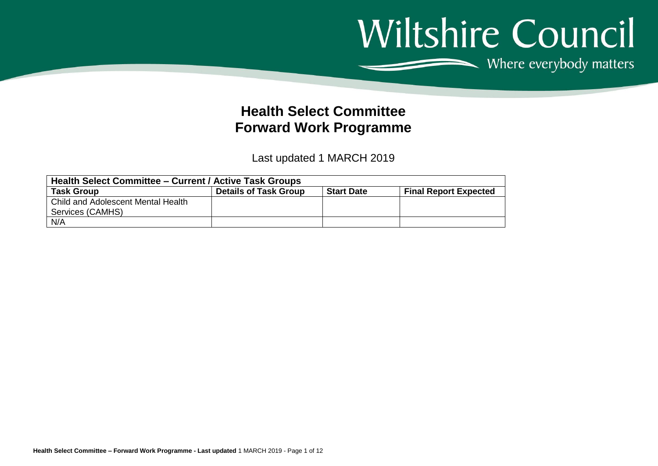## Wiltshire Council Where everybody matters

**Health Select Committee Forward Work Programme**

Last updated 1 MARCH 2019

| <b>Health Select Committee - Current / Active Task Groups</b> |                              |                   |                              |  |  |  |  |  |
|---------------------------------------------------------------|------------------------------|-------------------|------------------------------|--|--|--|--|--|
| <b>Task Group</b>                                             | <b>Details of Task Group</b> | <b>Start Date</b> | <b>Final Report Expected</b> |  |  |  |  |  |
| l Child and Adolescent Mental Health                          |                              |                   |                              |  |  |  |  |  |
| Services (CAMHS)                                              |                              |                   |                              |  |  |  |  |  |
| N/A                                                           |                              |                   |                              |  |  |  |  |  |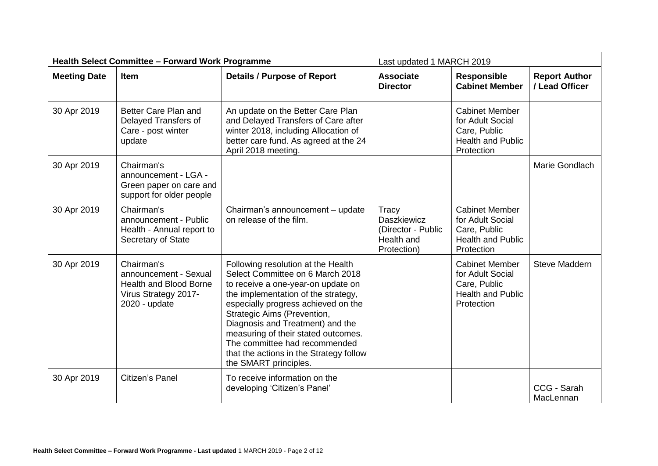| <b>Health Select Committee - Forward Work Programme</b> |                                                                                                               |                                                                                                                                                                                                                                                                                                                                                                                                           | Last updated 1 MARCH 2019                                                      |                                                                                                     |                                        |
|---------------------------------------------------------|---------------------------------------------------------------------------------------------------------------|-----------------------------------------------------------------------------------------------------------------------------------------------------------------------------------------------------------------------------------------------------------------------------------------------------------------------------------------------------------------------------------------------------------|--------------------------------------------------------------------------------|-----------------------------------------------------------------------------------------------------|----------------------------------------|
| <b>Meeting Date</b>                                     | <b>Item</b>                                                                                                   | <b>Details / Purpose of Report</b>                                                                                                                                                                                                                                                                                                                                                                        | <b>Associate</b><br><b>Director</b>                                            | <b>Responsible</b><br><b>Cabinet Member</b>                                                         | <b>Report Author</b><br>/ Lead Officer |
| 30 Apr 2019                                             | Better Care Plan and<br>Delayed Transfers of<br>Care - post winter<br>update                                  | An update on the Better Care Plan<br>and Delayed Transfers of Care after<br>winter 2018, including Allocation of<br>better care fund. As agreed at the 24<br>April 2018 meeting.                                                                                                                                                                                                                          |                                                                                | <b>Cabinet Member</b><br>for Adult Social<br>Care, Public<br><b>Health and Public</b><br>Protection |                                        |
| 30 Apr 2019                                             | Chairman's<br>announcement - LGA -<br>Green paper on care and<br>support for older people                     |                                                                                                                                                                                                                                                                                                                                                                                                           |                                                                                |                                                                                                     | Marie Gondlach                         |
| 30 Apr 2019                                             | Chairman's<br>announcement - Public<br>Health - Annual report to<br>Secretary of State                        | Chairman's announcement - update<br>on release of the film.                                                                                                                                                                                                                                                                                                                                               | Tracy<br><b>Daszkiewicz</b><br>(Director - Public<br>Health and<br>Protection) | <b>Cabinet Member</b><br>for Adult Social<br>Care, Public<br><b>Health and Public</b><br>Protection |                                        |
| 30 Apr 2019                                             | Chairman's<br>announcement - Sexual<br><b>Health and Blood Borne</b><br>Virus Strategy 2017-<br>2020 - update | Following resolution at the Health<br>Select Committee on 6 March 2018<br>to receive a one-year-on update on<br>the implementation of the strategy,<br>especially progress achieved on the<br>Strategic Aims (Prevention,<br>Diagnosis and Treatment) and the<br>measuring of their stated outcomes.<br>The committee had recommended<br>that the actions in the Strategy follow<br>the SMART principles. |                                                                                | <b>Cabinet Member</b><br>for Adult Social<br>Care, Public<br><b>Health and Public</b><br>Protection | Steve Maddern                          |
| 30 Apr 2019                                             | Citizen's Panel                                                                                               | To receive information on the<br>developing 'Citizen's Panel'                                                                                                                                                                                                                                                                                                                                             |                                                                                |                                                                                                     | CCG - Sarah<br>MacLennan               |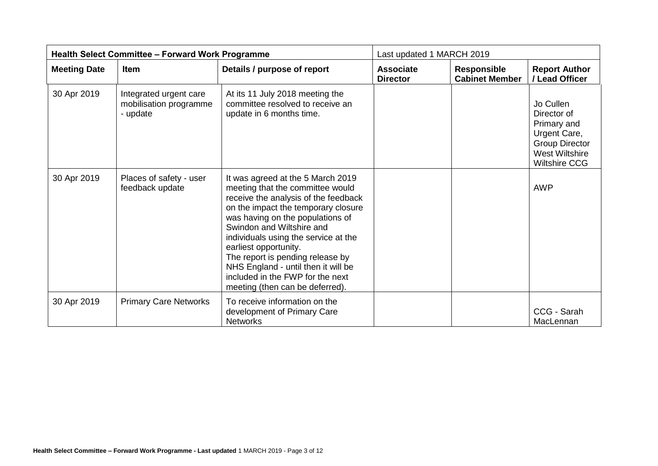| <b>Health Select Committee - Forward Work Programme</b> |                                                              |                                                                                                                                                                                                                                                                                                                                                                                                                                          | Last updated 1 MARCH 2019           |                                             |                                                                                                                                   |
|---------------------------------------------------------|--------------------------------------------------------------|------------------------------------------------------------------------------------------------------------------------------------------------------------------------------------------------------------------------------------------------------------------------------------------------------------------------------------------------------------------------------------------------------------------------------------------|-------------------------------------|---------------------------------------------|-----------------------------------------------------------------------------------------------------------------------------------|
| <b>Meeting Date</b>                                     | <b>Item</b>                                                  | Details / purpose of report                                                                                                                                                                                                                                                                                                                                                                                                              | <b>Associate</b><br><b>Director</b> | <b>Responsible</b><br><b>Cabinet Member</b> | <b>Report Author</b><br>/ Lead Officer                                                                                            |
| 30 Apr 2019                                             | Integrated urgent care<br>mobilisation programme<br>- update | At its 11 July 2018 meeting the<br>committee resolved to receive an<br>update in 6 months time.                                                                                                                                                                                                                                                                                                                                          |                                     |                                             | Jo Cullen<br>Director of<br>Primary and<br>Urgent Care,<br><b>Group Director</b><br><b>West Wiltshire</b><br><b>Wiltshire CCG</b> |
| 30 Apr 2019                                             | Places of safety - user<br>feedback update                   | It was agreed at the 5 March 2019<br>meeting that the committee would<br>receive the analysis of the feedback<br>on the impact the temporary closure<br>was having on the populations of<br>Swindon and Wiltshire and<br>individuals using the service at the<br>earliest opportunity.<br>The report is pending release by<br>NHS England - until then it will be<br>included in the FWP for the next<br>meeting (then can be deferred). |                                     |                                             | <b>AWP</b>                                                                                                                        |
| 30 Apr 2019                                             | <b>Primary Care Networks</b>                                 | To receive information on the<br>development of Primary Care<br><b>Networks</b>                                                                                                                                                                                                                                                                                                                                                          |                                     |                                             | CCG - Sarah<br>MacLennan                                                                                                          |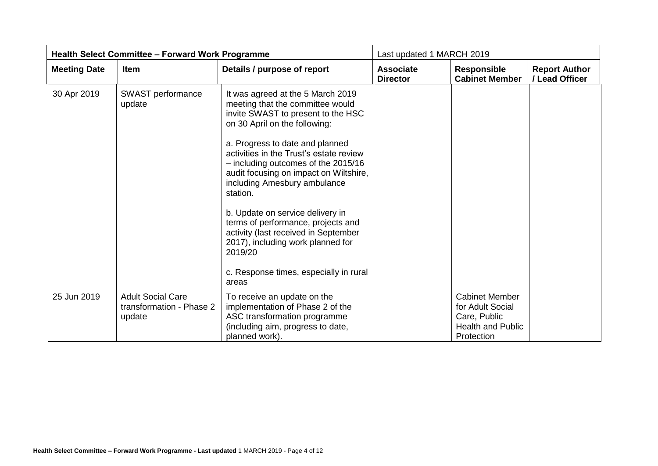| <b>Health Select Committee - Forward Work Programme</b> |                                                                |                                                                                                                                                                                                                                                                                                                                                                                                                                                                                                                                                                              | Last updated 1 MARCH 2019           |                                                                                                     |                                        |
|---------------------------------------------------------|----------------------------------------------------------------|------------------------------------------------------------------------------------------------------------------------------------------------------------------------------------------------------------------------------------------------------------------------------------------------------------------------------------------------------------------------------------------------------------------------------------------------------------------------------------------------------------------------------------------------------------------------------|-------------------------------------|-----------------------------------------------------------------------------------------------------|----------------------------------------|
| <b>Meeting Date</b>                                     | Item                                                           | Details / purpose of report                                                                                                                                                                                                                                                                                                                                                                                                                                                                                                                                                  | <b>Associate</b><br><b>Director</b> | <b>Responsible</b><br><b>Cabinet Member</b>                                                         | <b>Report Author</b><br>/ Lead Officer |
| 30 Apr 2019                                             | SWAST performance<br>update                                    | It was agreed at the 5 March 2019<br>meeting that the committee would<br>invite SWAST to present to the HSC<br>on 30 April on the following:<br>a. Progress to date and planned<br>activities in the Trust's estate review<br>- including outcomes of the 2015/16<br>audit focusing on impact on Wiltshire,<br>including Amesbury ambulance<br>station.<br>b. Update on service delivery in<br>terms of performance, projects and<br>activity (last received in September<br>2017), including work planned for<br>2019/20<br>c. Response times, especially in rural<br>areas |                                     |                                                                                                     |                                        |
| 25 Jun 2019                                             | <b>Adult Social Care</b><br>transformation - Phase 2<br>update | To receive an update on the<br>implementation of Phase 2 of the<br>ASC transformation programme<br>(including aim, progress to date,<br>planned work).                                                                                                                                                                                                                                                                                                                                                                                                                       |                                     | <b>Cabinet Member</b><br>for Adult Social<br>Care, Public<br><b>Health and Public</b><br>Protection |                                        |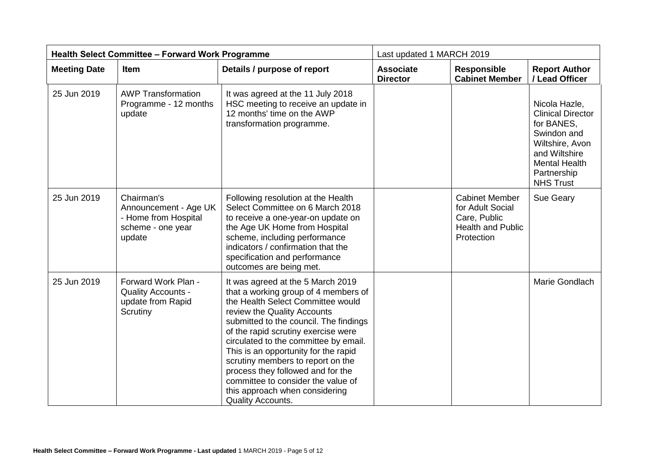| <b>Health Select Committee - Forward Work Programme</b> |                                                                                            |                                                                                                                                                                                                                                                                                                                                                                                                                                                                                               | Last updated 1 MARCH 2019           |                                                                                                     |                                                                                                                                                                       |
|---------------------------------------------------------|--------------------------------------------------------------------------------------------|-----------------------------------------------------------------------------------------------------------------------------------------------------------------------------------------------------------------------------------------------------------------------------------------------------------------------------------------------------------------------------------------------------------------------------------------------------------------------------------------------|-------------------------------------|-----------------------------------------------------------------------------------------------------|-----------------------------------------------------------------------------------------------------------------------------------------------------------------------|
| <b>Meeting Date</b>                                     | <b>Item</b>                                                                                | Details / purpose of report                                                                                                                                                                                                                                                                                                                                                                                                                                                                   | <b>Associate</b><br><b>Director</b> | <b>Responsible</b><br><b>Cabinet Member</b>                                                         | <b>Report Author</b><br>/ Lead Officer                                                                                                                                |
| 25 Jun 2019                                             | <b>AWP Transformation</b><br>Programme - 12 months<br>update                               | It was agreed at the 11 July 2018<br>HSC meeting to receive an update in<br>12 months' time on the AWP<br>transformation programme.                                                                                                                                                                                                                                                                                                                                                           |                                     |                                                                                                     | Nicola Hazle,<br><b>Clinical Director</b><br>for BANES,<br>Swindon and<br>Wiltshire, Avon<br>and Wiltshire<br><b>Mental Health</b><br>Partnership<br><b>NHS Trust</b> |
| 25 Jun 2019                                             | Chairman's<br>Announcement - Age UK<br>- Home from Hospital<br>scheme - one year<br>update | Following resolution at the Health<br>Select Committee on 6 March 2018<br>to receive a one-year-on update on<br>the Age UK Home from Hospital<br>scheme, including performance<br>indicators / confirmation that the<br>specification and performance<br>outcomes are being met.                                                                                                                                                                                                              |                                     | <b>Cabinet Member</b><br>for Adult Social<br>Care, Public<br><b>Health and Public</b><br>Protection | Sue Geary                                                                                                                                                             |
| 25 Jun 2019                                             | Forward Work Plan -<br><b>Quality Accounts -</b><br>update from Rapid<br>Scrutiny          | It was agreed at the 5 March 2019<br>that a working group of 4 members of<br>the Health Select Committee would<br>review the Quality Accounts<br>submitted to the council. The findings<br>of the rapid scrutiny exercise were<br>circulated to the committee by email.<br>This is an opportunity for the rapid<br>scrutiny members to report on the<br>process they followed and for the<br>committee to consider the value of<br>this approach when considering<br><b>Quality Accounts.</b> |                                     |                                                                                                     | Marie Gondlach                                                                                                                                                        |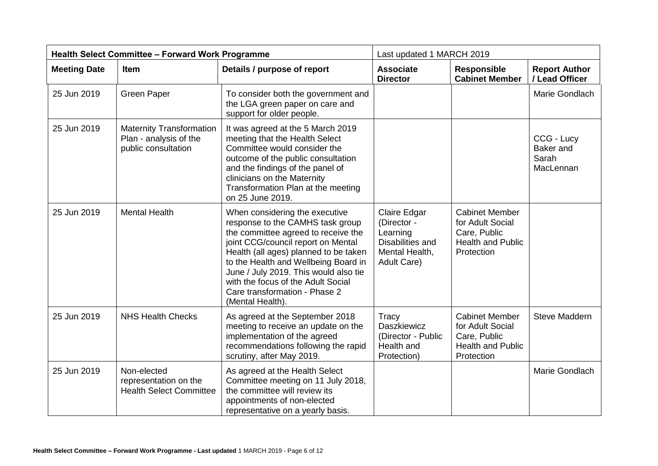| <b>Health Select Committee - Forward Work Programme</b> |                                                                                  |                                                                                                                                                                                                                                                                                                                                                                      | Last updated 1 MARCH 2019                                                                    |                                                                                                     |                                               |
|---------------------------------------------------------|----------------------------------------------------------------------------------|----------------------------------------------------------------------------------------------------------------------------------------------------------------------------------------------------------------------------------------------------------------------------------------------------------------------------------------------------------------------|----------------------------------------------------------------------------------------------|-----------------------------------------------------------------------------------------------------|-----------------------------------------------|
| <b>Meeting Date</b>                                     | Item                                                                             | Details / purpose of report                                                                                                                                                                                                                                                                                                                                          | <b>Associate</b><br><b>Director</b>                                                          | <b>Responsible</b><br><b>Cabinet Member</b>                                                         | <b>Report Author</b><br>/ Lead Officer        |
| 25 Jun 2019                                             | <b>Green Paper</b>                                                               | To consider both the government and<br>the LGA green paper on care and<br>support for older people.                                                                                                                                                                                                                                                                  |                                                                                              |                                                                                                     | Marie Gondlach                                |
| 25 Jun 2019                                             | <b>Maternity Transformation</b><br>Plan - analysis of the<br>public consultation | It was agreed at the 5 March 2019<br>meeting that the Health Select<br>Committee would consider the<br>outcome of the public consultation<br>and the findings of the panel of<br>clinicians on the Maternity<br>Transformation Plan at the meeting<br>on 25 June 2019.                                                                                               |                                                                                              |                                                                                                     | CCG - Lucy<br>Baker and<br>Sarah<br>MacLennan |
| 25 Jun 2019                                             | <b>Mental Health</b>                                                             | When considering the executive<br>response to the CAMHS task group<br>the committee agreed to receive the<br>joint CCG/council report on Mental<br>Health (all ages) planned to be taken<br>to the Health and Wellbeing Board in<br>June / July 2019. This would also tie<br>with the focus of the Adult Social<br>Care transformation - Phase 2<br>(Mental Health). | Claire Edgar<br>(Director -<br>Learning<br>Disabilities and<br>Mental Health,<br>Adult Care) | <b>Cabinet Member</b><br>for Adult Social<br>Care, Public<br><b>Health and Public</b><br>Protection |                                               |
| 25 Jun 2019                                             | <b>NHS Health Checks</b>                                                         | As agreed at the September 2018<br>meeting to receive an update on the<br>implementation of the agreed<br>recommendations following the rapid<br>scrutiny, after May 2019.                                                                                                                                                                                           | Tracy<br><b>Daszkiewicz</b><br>(Director - Public<br>Health and<br>Protection)               | <b>Cabinet Member</b><br>for Adult Social<br>Care, Public<br><b>Health and Public</b><br>Protection | Steve Maddern                                 |
| 25 Jun 2019                                             | Non-elected<br>representation on the<br><b>Health Select Committee</b>           | As agreed at the Health Select<br>Committee meeting on 11 July 2018,<br>the committee will review its<br>appointments of non-elected<br>representative on a yearly basis.                                                                                                                                                                                            |                                                                                              |                                                                                                     | Marie Gondlach                                |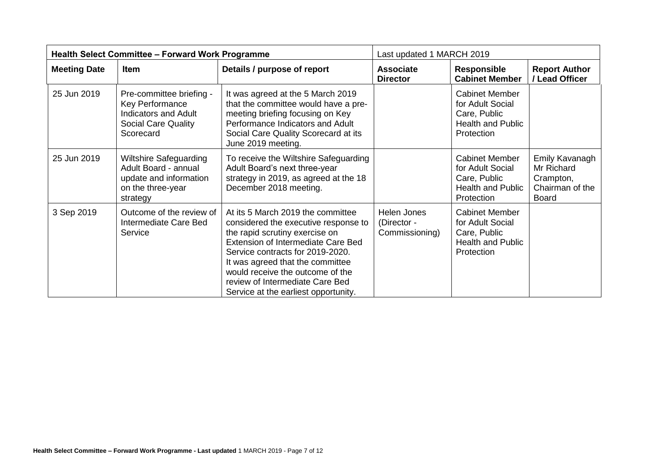| <b>Health Select Committee - Forward Work Programme</b> |                                                                                                                              |                                                                                                                                                                                                                                                                                                                                                 | Last updated 1 MARCH 2019                    |                                                                                                     |                                                                              |
|---------------------------------------------------------|------------------------------------------------------------------------------------------------------------------------------|-------------------------------------------------------------------------------------------------------------------------------------------------------------------------------------------------------------------------------------------------------------------------------------------------------------------------------------------------|----------------------------------------------|-----------------------------------------------------------------------------------------------------|------------------------------------------------------------------------------|
| <b>Meeting Date</b>                                     | Item                                                                                                                         | Details / purpose of report                                                                                                                                                                                                                                                                                                                     | <b>Associate</b><br><b>Director</b>          | <b>Responsible</b><br><b>Cabinet Member</b>                                                         | <b>Report Author</b><br>/ Lead Officer                                       |
| 25 Jun 2019                                             | Pre-committee briefing -<br><b>Key Performance</b><br><b>Indicators and Adult</b><br><b>Social Care Quality</b><br>Scorecard | It was agreed at the 5 March 2019<br>that the committee would have a pre-<br>meeting briefing focusing on Key<br>Performance Indicators and Adult<br>Social Care Quality Scorecard at its<br>June 2019 meeting.                                                                                                                                 |                                              | <b>Cabinet Member</b><br>for Adult Social<br>Care, Public<br><b>Health and Public</b><br>Protection |                                                                              |
| 25 Jun 2019                                             | <b>Wiltshire Safeguarding</b><br>Adult Board - annual<br>update and information<br>on the three-year<br>strategy             | To receive the Wiltshire Safeguarding<br>Adult Board's next three-year<br>strategy in 2019, as agreed at the 18<br>December 2018 meeting.                                                                                                                                                                                                       |                                              | <b>Cabinet Member</b><br>for Adult Social<br>Care, Public<br><b>Health and Public</b><br>Protection | Emily Kavanagh<br>Mr Richard<br>Crampton,<br>Chairman of the<br><b>Board</b> |
| 3 Sep 2019                                              | Outcome of the review of<br>Intermediate Care Bed<br>Service                                                                 | At its 5 March 2019 the committee<br>considered the executive response to<br>the rapid scrutiny exercise on<br><b>Extension of Intermediate Care Bed</b><br>Service contracts for 2019-2020.<br>It was agreed that the committee<br>would receive the outcome of the<br>review of Intermediate Care Bed<br>Service at the earliest opportunity. | Helen Jones<br>(Director -<br>Commissioning) | <b>Cabinet Member</b><br>for Adult Social<br>Care, Public<br><b>Health and Public</b><br>Protection |                                                                              |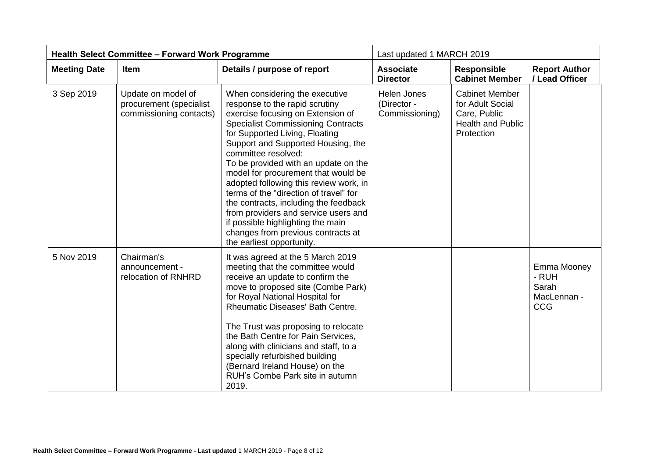| <b>Health Select Committee - Forward Work Programme</b> |                                                                          |                                                                                                                                                                                                                                                                                                                                                                                                                                                                                                                                                                                                               | Last updated 1 MARCH 2019                    |                                                                                                     |                                                            |
|---------------------------------------------------------|--------------------------------------------------------------------------|---------------------------------------------------------------------------------------------------------------------------------------------------------------------------------------------------------------------------------------------------------------------------------------------------------------------------------------------------------------------------------------------------------------------------------------------------------------------------------------------------------------------------------------------------------------------------------------------------------------|----------------------------------------------|-----------------------------------------------------------------------------------------------------|------------------------------------------------------------|
| <b>Meeting Date</b>                                     | <b>Item</b>                                                              | Details / purpose of report                                                                                                                                                                                                                                                                                                                                                                                                                                                                                                                                                                                   | <b>Associate</b><br><b>Director</b>          | <b>Responsible</b><br><b>Cabinet Member</b>                                                         | <b>Report Author</b><br>/ Lead Officer                     |
| 3 Sep 2019                                              | Update on model of<br>procurement (specialist<br>commissioning contacts) | When considering the executive<br>response to the rapid scrutiny<br>exercise focusing on Extension of<br><b>Specialist Commissioning Contracts</b><br>for Supported Living, Floating<br>Support and Supported Housing, the<br>committee resolved:<br>To be provided with an update on the<br>model for procurement that would be<br>adopted following this review work, in<br>terms of the "direction of travel" for<br>the contracts, including the feedback<br>from providers and service users and<br>if possible highlighting the main<br>changes from previous contracts at<br>the earliest opportunity. | Helen Jones<br>(Director -<br>Commissioning) | <b>Cabinet Member</b><br>for Adult Social<br>Care, Public<br><b>Health and Public</b><br>Protection |                                                            |
| 5 Nov 2019                                              | Chairman's<br>announcement -<br>relocation of RNHRD                      | It was agreed at the 5 March 2019<br>meeting that the committee would<br>receive an update to confirm the<br>move to proposed site (Combe Park)<br>for Royal National Hospital for<br><b>Rheumatic Diseases' Bath Centre.</b><br>The Trust was proposing to relocate<br>the Bath Centre for Pain Services,<br>along with clinicians and staff, to a<br>specially refurbished building<br>(Bernard Ireland House) on the<br>RUH's Combe Park site in autumn<br>2019.                                                                                                                                           |                                              |                                                                                                     | Emma Mooney<br>- RUH<br>Sarah<br>MacLennan -<br><b>CCG</b> |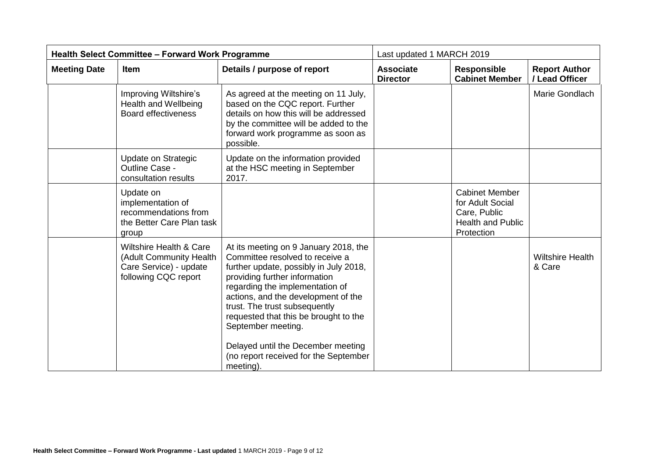| <b>Health Select Committee - Forward Work Programme</b> |                                                                                                                 |                                                                                                                                                                                                                                                                                                                                                                                                                           | Last updated 1 MARCH 2019           |                                                                                                     |                                        |
|---------------------------------------------------------|-----------------------------------------------------------------------------------------------------------------|---------------------------------------------------------------------------------------------------------------------------------------------------------------------------------------------------------------------------------------------------------------------------------------------------------------------------------------------------------------------------------------------------------------------------|-------------------------------------|-----------------------------------------------------------------------------------------------------|----------------------------------------|
| <b>Meeting Date</b>                                     | <b>Item</b>                                                                                                     | Details / purpose of report                                                                                                                                                                                                                                                                                                                                                                                               | <b>Associate</b><br><b>Director</b> | <b>Responsible</b><br><b>Cabinet Member</b>                                                         | <b>Report Author</b><br>/ Lead Officer |
|                                                         | Improving Wiltshire's<br><b>Health and Wellbeing</b><br><b>Board effectiveness</b>                              | As agreed at the meeting on 11 July,<br>based on the CQC report. Further<br>details on how this will be addressed<br>by the committee will be added to the<br>forward work programme as soon as<br>possible.                                                                                                                                                                                                              |                                     |                                                                                                     | Marie Gondlach                         |
|                                                         | Update on Strategic<br>Outline Case -<br>consultation results                                                   | Update on the information provided<br>at the HSC meeting in September<br>2017.                                                                                                                                                                                                                                                                                                                                            |                                     |                                                                                                     |                                        |
|                                                         | Update on<br>implementation of<br>recommendations from<br>the Better Care Plan task<br>group                    |                                                                                                                                                                                                                                                                                                                                                                                                                           |                                     | <b>Cabinet Member</b><br>for Adult Social<br>Care, Public<br><b>Health and Public</b><br>Protection |                                        |
|                                                         | <b>Wiltshire Health &amp; Care</b><br>(Adult Community Health<br>Care Service) - update<br>following CQC report | At its meeting on 9 January 2018, the<br>Committee resolved to receive a<br>further update, possibly in July 2018,<br>providing further information<br>regarding the implementation of<br>actions, and the development of the<br>trust. The trust subsequently<br>requested that this be brought to the<br>September meeting.<br>Delayed until the December meeting<br>(no report received for the September<br>meeting). |                                     |                                                                                                     | <b>Wiltshire Health</b><br>& Care      |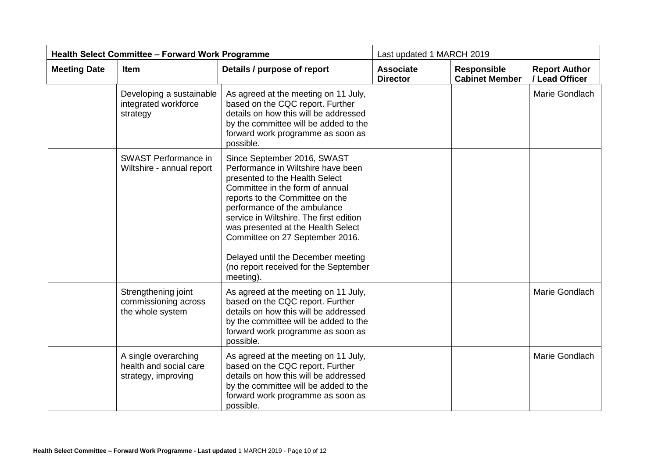| <b>Health Select Committee - Forward Work Programme</b> |                                                                       |                                                                                                                                                                                                                                                                                                                                                                                                                           | Last updated 1 MARCH 2019           |                                             |                                        |
|---------------------------------------------------------|-----------------------------------------------------------------------|---------------------------------------------------------------------------------------------------------------------------------------------------------------------------------------------------------------------------------------------------------------------------------------------------------------------------------------------------------------------------------------------------------------------------|-------------------------------------|---------------------------------------------|----------------------------------------|
| <b>Meeting Date</b>                                     | Item                                                                  | Details / purpose of report                                                                                                                                                                                                                                                                                                                                                                                               | <b>Associate</b><br><b>Director</b> | <b>Responsible</b><br><b>Cabinet Member</b> | <b>Report Author</b><br>/ Lead Officer |
|                                                         | Developing a sustainable<br>integrated workforce<br>strategy          | As agreed at the meeting on 11 July,<br>based on the CQC report. Further<br>details on how this will be addressed<br>by the committee will be added to the<br>forward work programme as soon as<br>possible.                                                                                                                                                                                                              |                                     |                                             | Marie Gondlach                         |
|                                                         | <b>SWAST Performance in</b><br>Wiltshire - annual report              | Since September 2016, SWAST<br>Performance in Wiltshire have been<br>presented to the Health Select<br>Committee in the form of annual<br>reports to the Committee on the<br>performance of the ambulance<br>service in Wiltshire. The first edition<br>was presented at the Health Select<br>Committee on 27 September 2016.<br>Delayed until the December meeting<br>(no report received for the September<br>meeting). |                                     |                                             |                                        |
|                                                         | Strengthening joint<br>commissioning across<br>the whole system       | As agreed at the meeting on 11 July,<br>based on the CQC report. Further<br>details on how this will be addressed<br>by the committee will be added to the<br>forward work programme as soon as<br>possible.                                                                                                                                                                                                              |                                     |                                             | Marie Gondlach                         |
|                                                         | A single overarching<br>health and social care<br>strategy, improving | As agreed at the meeting on 11 July,<br>based on the CQC report. Further<br>details on how this will be addressed<br>by the committee will be added to the<br>forward work programme as soon as<br>possible.                                                                                                                                                                                                              |                                     |                                             | Marie Gondlach                         |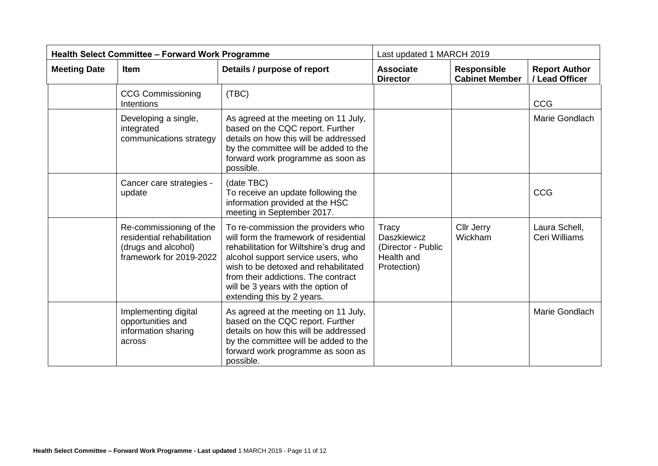| <b>Health Select Committee - Forward Work Programme</b> |                                                                                                         |                                                                                                                                                                                                                                                                                                                  | Last updated 1 MARCH 2019                                                      |                                             |                                        |
|---------------------------------------------------------|---------------------------------------------------------------------------------------------------------|------------------------------------------------------------------------------------------------------------------------------------------------------------------------------------------------------------------------------------------------------------------------------------------------------------------|--------------------------------------------------------------------------------|---------------------------------------------|----------------------------------------|
| <b>Meeting Date</b>                                     | Item                                                                                                    | Details / purpose of report                                                                                                                                                                                                                                                                                      | <b>Associate</b><br><b>Director</b>                                            | <b>Responsible</b><br><b>Cabinet Member</b> | <b>Report Author</b><br>/ Lead Officer |
|                                                         | <b>CCG Commissioning</b><br>Intentions                                                                  | (TBC)                                                                                                                                                                                                                                                                                                            |                                                                                |                                             | <b>CCG</b>                             |
|                                                         | Developing a single,<br>integrated<br>communications strategy                                           | As agreed at the meeting on 11 July,<br>based on the CQC report. Further<br>details on how this will be addressed<br>by the committee will be added to the<br>forward work programme as soon as<br>possible.                                                                                                     |                                                                                |                                             | Marie Gondlach                         |
|                                                         | Cancer care strategies -<br>update                                                                      | (date TBC)<br>To receive an update following the<br>information provided at the HSC<br>meeting in September 2017.                                                                                                                                                                                                |                                                                                |                                             | <b>CCG</b>                             |
|                                                         | Re-commissioning of the<br>residential rehabilitation<br>(drugs and alcohol)<br>framework for 2019-2022 | To re-commission the providers who<br>will form the framework of residential<br>rehabilitation for Wiltshire's drug and<br>alcohol support service users, who<br>wish to be detoxed and rehabilitated<br>from their addictions. The contract<br>will be 3 years with the option of<br>extending this by 2 years. | Tracy<br><b>Daszkiewicz</b><br>(Director - Public<br>Health and<br>Protection) | <b>Cllr Jerry</b><br>Wickham                | Laura Schell,<br>Ceri Williams         |
|                                                         | Implementing digital<br>opportunities and<br>information sharing<br>across                              | As agreed at the meeting on 11 July,<br>based on the CQC report. Further<br>details on how this will be addressed<br>by the committee will be added to the<br>forward work programme as soon as<br>possible.                                                                                                     |                                                                                |                                             | Marie Gondlach                         |